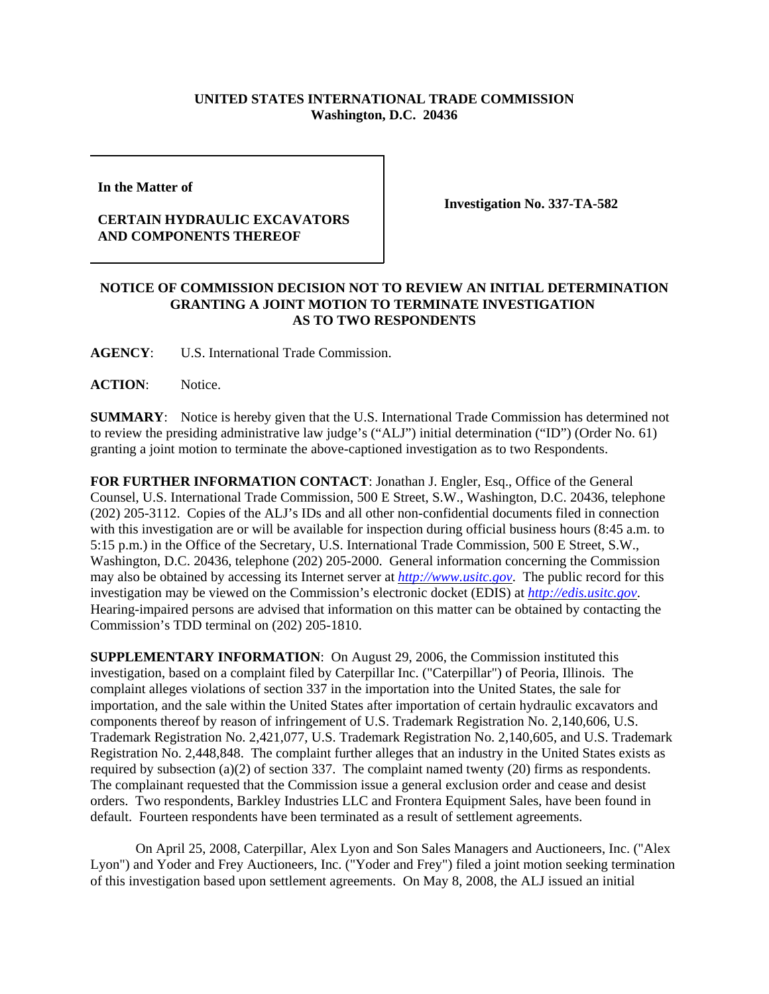## **UNITED STATES INTERNATIONAL TRADE COMMISSION Washington, D.C. 20436**

**In the Matter of** 

## **CERTAIN HYDRAULIC EXCAVATORS AND COMPONENTS THEREOF**

**Investigation No. 337-TA-582**

## **NOTICE OF COMMISSION DECISION NOT TO REVIEW AN INITIAL DETERMINATION GRANTING A JOINT MOTION TO TERMINATE INVESTIGATION AS TO TWO RESPONDENTS**

**AGENCY**: U.S. International Trade Commission.

**ACTION**: Notice.

**SUMMARY**: Notice is hereby given that the U.S. International Trade Commission has determined not to review the presiding administrative law judge's ("ALJ") initial determination ("ID") (Order No. 61) granting a joint motion to terminate the above-captioned investigation as to two Respondents.

**FOR FURTHER INFORMATION CONTACT**: Jonathan J. Engler, Esq., Office of the General Counsel, U.S. International Trade Commission, 500 E Street, S.W., Washington, D.C. 20436, telephone (202) 205-3112. Copies of the ALJ's IDs and all other non-confidential documents filed in connection with this investigation are or will be available for inspection during official business hours (8:45 a.m. to 5:15 p.m.) in the Office of the Secretary, U.S. International Trade Commission, 500 E Street, S.W., Washington, D.C. 20436, telephone (202) 205-2000. General information concerning the Commission may also be obtained by accessing its Internet server at *http://www.usitc.gov*. The public record for this investigation may be viewed on the Commission's electronic docket (EDIS) at *http://edis.usitc.gov*. Hearing-impaired persons are advised that information on this matter can be obtained by contacting the Commission's TDD terminal on (202) 205-1810.

**SUPPLEMENTARY INFORMATION**: On August 29, 2006, the Commission instituted this investigation, based on a complaint filed by Caterpillar Inc. ("Caterpillar") of Peoria, Illinois. The complaint alleges violations of section 337 in the importation into the United States, the sale for importation, and the sale within the United States after importation of certain hydraulic excavators and components thereof by reason of infringement of U.S. Trademark Registration No. 2,140,606, U.S. Trademark Registration No. 2,421,077, U.S. Trademark Registration No. 2,140,605, and U.S. Trademark Registration No. 2,448,848. The complaint further alleges that an industry in the United States exists as required by subsection (a)(2) of section 337. The complaint named twenty (20) firms as respondents. The complainant requested that the Commission issue a general exclusion order and cease and desist orders. Two respondents, Barkley Industries LLC and Frontera Equipment Sales, have been found in default. Fourteen respondents have been terminated as a result of settlement agreements.

On April 25, 2008, Caterpillar, Alex Lyon and Son Sales Managers and Auctioneers, Inc. ("Alex Lyon") and Yoder and Frey Auctioneers, Inc. ("Yoder and Frey") filed a joint motion seeking termination of this investigation based upon settlement agreements. On May 8, 2008, the ALJ issued an initial